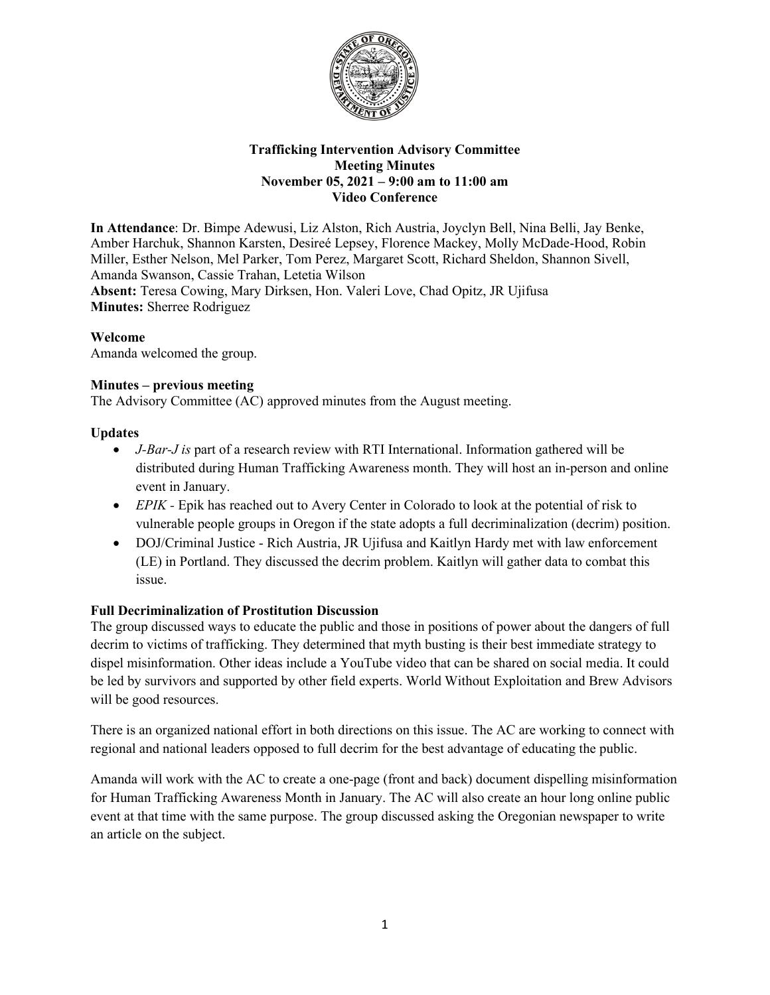

## **Trafficking Intervention Advisory Committee Meeting Minutes November 05, 2021 – 9:00 am to 11:00 am Video Conference**

**In Attendance**: Dr. Bimpe Adewusi, Liz Alston, Rich Austria, Joyclyn Bell, Nina Belli, Jay Benke, Amber Harchuk, Shannon Karsten, Desireé Lepsey, Florence Mackey, Molly McDade-Hood, Robin Miller, Esther Nelson, Mel Parker, Tom Perez, Margaret Scott, Richard Sheldon, Shannon Sivell, Amanda Swanson, Cassie Trahan, Letetia Wilson **Absent:** Teresa Cowing, Mary Dirksen, Hon. Valeri Love, Chad Opitz, JR Ujifusa **Minutes:** Sherree Rodriguez

# **Welcome**

Amanda welcomed the group.

## **Minutes – previous meeting**

The Advisory Committee (AC) approved minutes from the August meeting.

## **Updates**

- *J-Bar-J is* part of a research review with RTI International. Information gathered will be distributed during Human Trafficking Awareness month. They will host an in-person and online event in January.
- *EPIK* Epik has reached out to Avery Center in Colorado to look at the potential of risk to vulnerable people groups in Oregon if the state adopts a full decriminalization (decrim) position.
- DOJ/Criminal Justice Rich Austria, JR Ujifusa and Kaitlyn Hardy met with law enforcement (LE) in Portland. They discussed the decrim problem. Kaitlyn will gather data to combat this issue.

# **Full Decriminalization of Prostitution Discussion**

The group discussed ways to educate the public and those in positions of power about the dangers of full decrim to victims of trafficking. They determined that myth busting is their best immediate strategy to dispel misinformation. Other ideas include a YouTube video that can be shared on social media. It could be led by survivors and supported by other field experts. World Without Exploitation and Brew Advisors will be good resources.

There is an organized national effort in both directions on this issue. The AC are working to connect with regional and national leaders opposed to full decrim for the best advantage of educating the public.

Amanda will work with the AC to create a one-page (front and back) document dispelling misinformation for Human Trafficking Awareness Month in January. The AC will also create an hour long online public event at that time with the same purpose. The group discussed asking the Oregonian newspaper to write an article on the subject.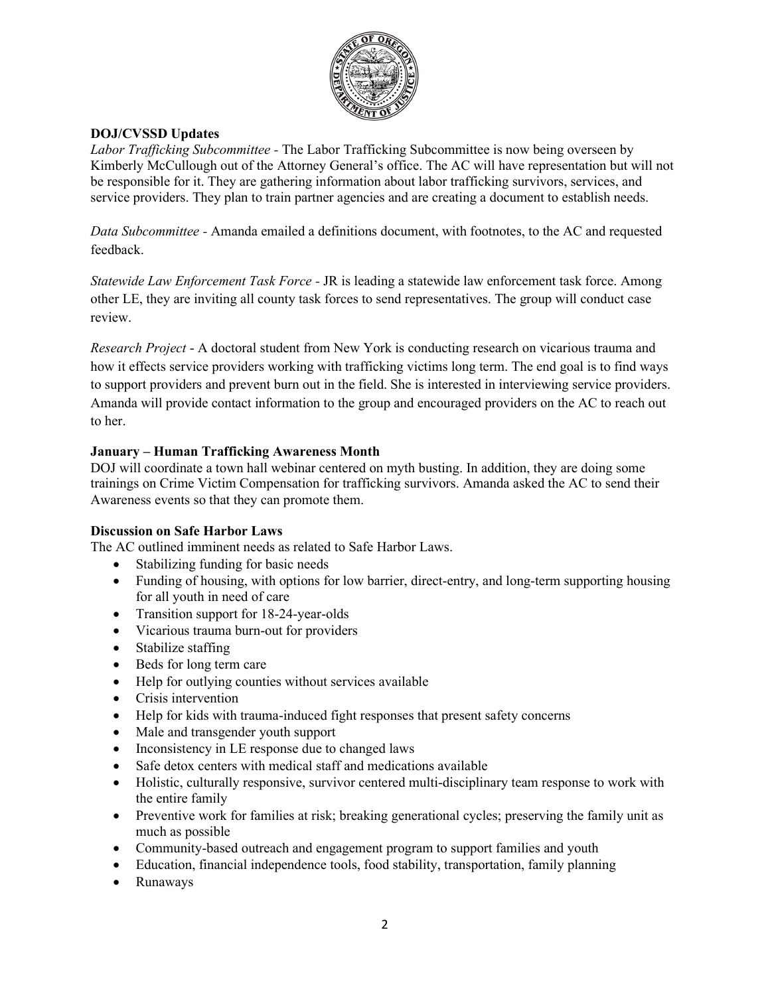

## **DOJ/CVSSD Updates**

*Labor Trafficking Subcommittee -* The Labor Trafficking Subcommittee is now being overseen by Kimberly McCullough out of the Attorney General's office. The AC will have representation but will not be responsible for it. They are gathering information about labor trafficking survivors, services, and service providers. They plan to train partner agencies and are creating a document to establish needs.

*Data Subcommittee -* Amanda emailed a definitions document, with footnotes, to the AC and requested feedback.

*Statewide Law Enforcement Task Force -* JR is leading a statewide law enforcement task force. Among other LE, they are inviting all county task forces to send representatives. The group will conduct case review.

*Research Project* - A doctoral student from New York is conducting research on vicarious trauma and how it effects service providers working with trafficking victims long term. The end goal is to find ways to support providers and prevent burn out in the field. She is interested in interviewing service providers. Amanda will provide contact information to the group and encouraged providers on the AC to reach out to her.

## **January – Human Trafficking Awareness Month**

DOJ will coordinate a town hall webinar centered on myth busting. In addition, they are doing some trainings on Crime Victim Compensation for trafficking survivors. Amanda asked the AC to send their Awareness events so that they can promote them.

#### **Discussion on Safe Harbor Laws**

The AC outlined imminent needs as related to Safe Harbor Laws.

- Stabilizing funding for basic needs
- Funding of housing, with options for low barrier, direct-entry, and long-term supporting housing for all youth in need of care
- Transition support for 18-24-year-olds
- Vicarious trauma burn-out for providers
- Stabilize staffing
- Beds for long term care
- Help for outlying counties without services available
- Crisis intervention
- Help for kids with trauma-induced fight responses that present safety concerns
- Male and transgender youth support
- Inconsistency in LE response due to changed laws
- Safe detox centers with medical staff and medications available
- Holistic, culturally responsive, survivor centered multi-disciplinary team response to work with the entire family
- Preventive work for families at risk; breaking generational cycles; preserving the family unit as much as possible
- Community-based outreach and engagement program to support families and youth
- Education, financial independence tools, food stability, transportation, family planning
- Runaways